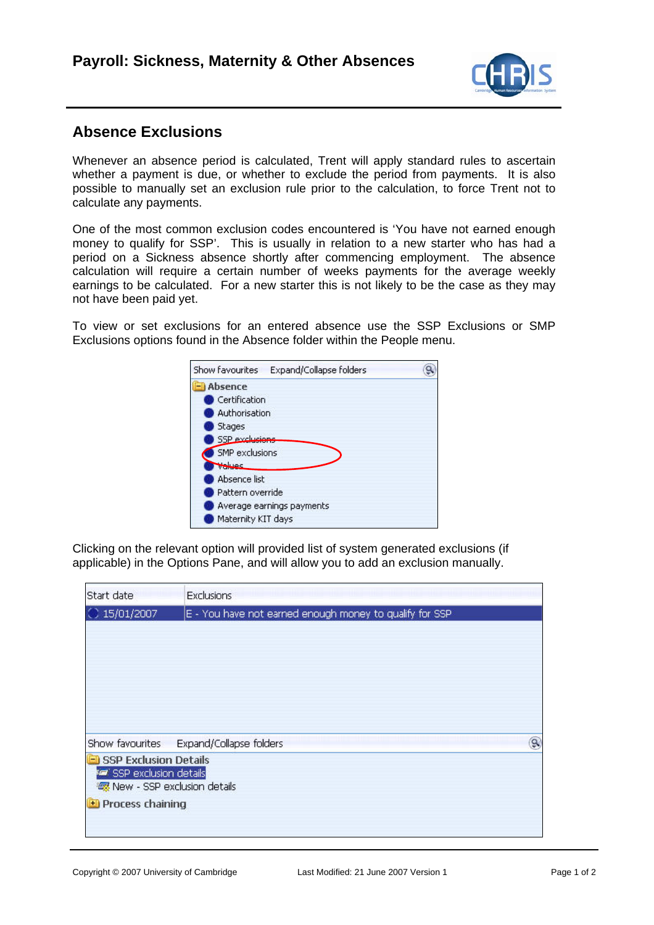

## **Absence Exclusions**

Whenever an absence period is calculated, Trent will apply standard rules to ascertain whether a payment is due, or whether to exclude the period from payments. It is also possible to manually set an exclusion rule prior to the calculation, to force Trent not to calculate any payments.

One of the most common exclusion codes encountered is 'You have not earned enough money to qualify for SSP'. This is usually in relation to a new starter who has had a period on a Sickness absence shortly after commencing employment. The absence calculation will require a certain number of weeks payments for the average weekly earnings to be calculated. For a new starter this is not likely to be the case as they may not have been paid yet.

To view or set exclusions for an entered absence use the SSP Exclusions or SMP Exclusions options found in the Absence folder within the People menu.



Clicking on the relevant option will provided list of system generated exclusions (if applicable) in the Options Pane, and will allow you to add an exclusion manually.

| Start date                             | <b>Exclusions</b>                                       |
|----------------------------------------|---------------------------------------------------------|
| $C$ 15/01/2007                         | E - You have not earned enough money to qualify for SSP |
|                                        |                                                         |
|                                        |                                                         |
|                                        |                                                         |
|                                        |                                                         |
|                                        |                                                         |
|                                        | ۹<br>Show favourites Expand/Collapse folders            |
| SSP Exclusion Details                  |                                                         |
| <b>For</b> SSP exclusion details       |                                                         |
| · <b>零</b> New - SSP exclusion details |                                                         |
| <b>Process chaining</b>                |                                                         |
|                                        |                                                         |